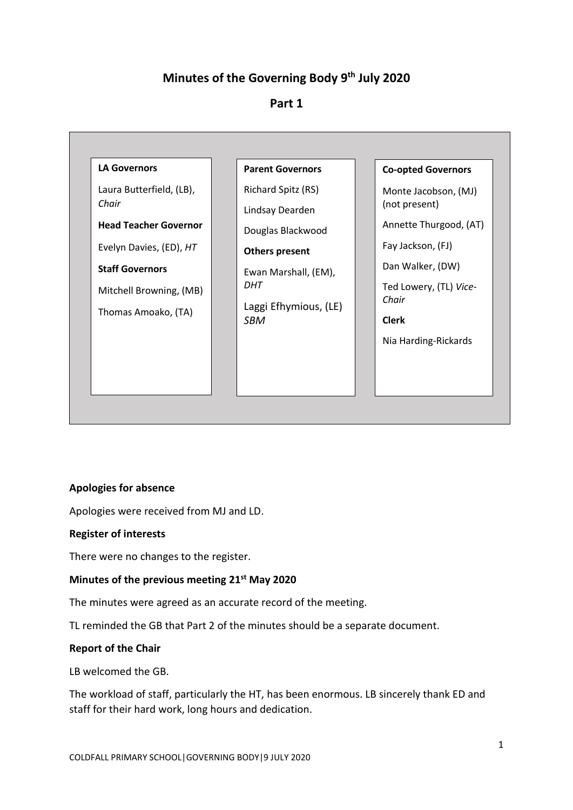# **Minutes of the Governing Body 9th July 2020**

## **Part 1**



## **Apologies for absence**

Apologies were received from MJ and LD.

#### **Register of interests**

There were no changes to the register.

## **Minutes of the previous meeting 21st May 2020**

The minutes were agreed as an accurate record of the meeting.

TL reminded the GB that Part 2 of the minutes should be a separate document.

## **Report of the Chair**

LB welcomed the GB.

The workload of staff, particularly the HT, has been enormous. LB sincerely thank ED and staff for their hard work, long hours and dedication.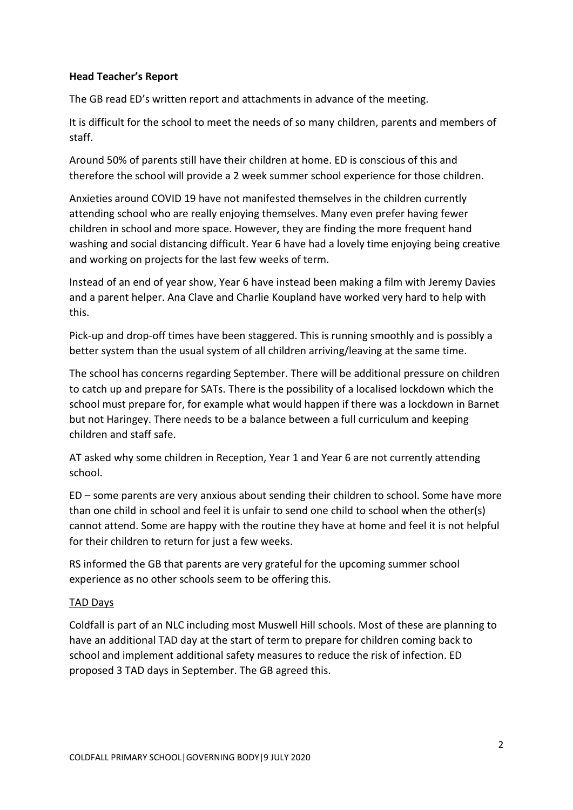## **Head Teacher's Report**

The GB read ED's written report and attachments in advance of the meeting.

It is difficult for the school to meet the needs of so many children, parents and members of staff.

Around 50% of parents still have their children at home. ED is conscious of this and therefore the school will provide a 2 week summer school experience for those children.

Anxieties around COVID 19 have not manifested themselves in the children currently attending school who are really enjoying themselves. Many even prefer having fewer children in school and more space. However, they are finding the more frequent hand washing and social distancing difficult. Year 6 have had a lovely time enjoying being creative and working on projects for the last few weeks of term.

Instead of an end of year show, Year 6 have instead been making a film with Jeremy Davies and a parent helper. Ana Clave and Charlie Koupland have worked very hard to help with this.

Pick-up and drop-off times have been staggered. This is running smoothly and is possibly a better system than the usual system of all children arriving/leaving at the same time.

The school has concerns regarding September. There will be additional pressure on children to catch up and prepare for SATs. There is the possibility of a localised lockdown which the school must prepare for, for example what would happen if there was a lockdown in Barnet but not Haringey. There needs to be a balance between a full curriculum and keeping children and staff safe.

AT asked why some children in Reception, Year 1 and Year 6 are not currently attending school.

ED – some parents are very anxious about sending their children to school. Some have more than one child in school and feel it is unfair to send one child to school when the other(s) cannot attend. Some are happy with the routine they have at home and feel it is not helpful for their children to return for just a few weeks.

RS informed the GB that parents are very grateful for the upcoming summer school experience as no other schools seem to be offering this.

## TAD Days

Coldfall is part of an NLC including most Muswell Hill schools. Most of these are planning to have an additional TAD day at the start of term to prepare for children coming back to school and implement additional safety measures to reduce the risk of infection. ED proposed 3 TAD days in September. The GB agreed this.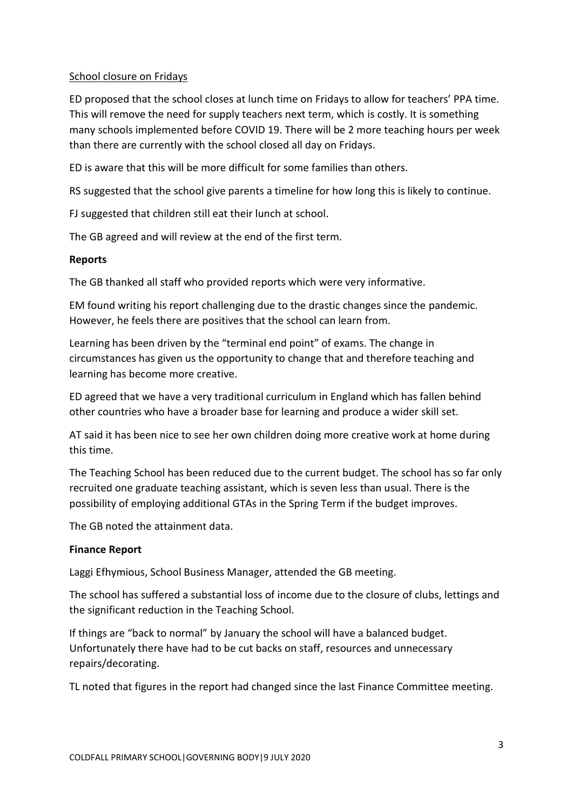## School closure on Fridays

ED proposed that the school closes at lunch time on Fridays to allow for teachers' PPA time. This will remove the need for supply teachers next term, which is costly. It is something many schools implemented before COVID 19. There will be 2 more teaching hours per week than there are currently with the school closed all day on Fridays.

ED is aware that this will be more difficult for some families than others.

RS suggested that the school give parents a timeline for how long this is likely to continue.

FJ suggested that children still eat their lunch at school.

The GB agreed and will review at the end of the first term.

## **Reports**

The GB thanked all staff who provided reports which were very informative.

EM found writing his report challenging due to the drastic changes since the pandemic. However, he feels there are positives that the school can learn from.

Learning has been driven by the "terminal end point" of exams. The change in circumstances has given us the opportunity to change that and therefore teaching and learning has become more creative.

ED agreed that we have a very traditional curriculum in England which has fallen behind other countries who have a broader base for learning and produce a wider skill set.

AT said it has been nice to see her own children doing more creative work at home during this time.

The Teaching School has been reduced due to the current budget. The school has so far only recruited one graduate teaching assistant, which is seven less than usual. There is the possibility of employing additional GTAs in the Spring Term if the budget improves.

The GB noted the attainment data.

## **Finance Report**

Laggi Efhymious, School Business Manager, attended the GB meeting.

The school has suffered a substantial loss of income due to the closure of clubs, lettings and the significant reduction in the Teaching School.

If things are "back to normal" by January the school will have a balanced budget. Unfortunately there have had to be cut backs on staff, resources and unnecessary repairs/decorating.

TL noted that figures in the report had changed since the last Finance Committee meeting.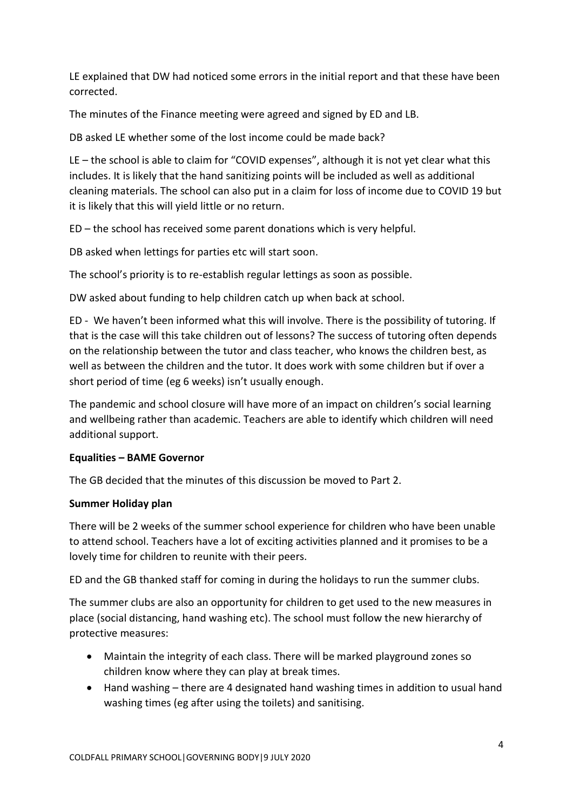LE explained that DW had noticed some errors in the initial report and that these have been corrected.

The minutes of the Finance meeting were agreed and signed by ED and LB.

DB asked LE whether some of the lost income could be made back?

LE – the school is able to claim for "COVID expenses", although it is not yet clear what this includes. It is likely that the hand sanitizing points will be included as well as additional cleaning materials. The school can also put in a claim for loss of income due to COVID 19 but it is likely that this will yield little or no return.

ED – the school has received some parent donations which is very helpful.

DB asked when lettings for parties etc will start soon.

The school's priority is to re-establish regular lettings as soon as possible.

DW asked about funding to help children catch up when back at school.

ED - We haven't been informed what this will involve. There is the possibility of tutoring. If that is the case will this take children out of lessons? The success of tutoring often depends on the relationship between the tutor and class teacher, who knows the children best, as well as between the children and the tutor. It does work with some children but if over a short period of time (eg 6 weeks) isn't usually enough.

The pandemic and school closure will have more of an impact on children's social learning and wellbeing rather than academic. Teachers are able to identify which children will need additional support.

## **Equalities – BAME Governor**

The GB decided that the minutes of this discussion be moved to Part 2.

## **Summer Holiday plan**

There will be 2 weeks of the summer school experience for children who have been unable to attend school. Teachers have a lot of exciting activities planned and it promises to be a lovely time for children to reunite with their peers.

ED and the GB thanked staff for coming in during the holidays to run the summer clubs.

The summer clubs are also an opportunity for children to get used to the new measures in place (social distancing, hand washing etc). The school must follow the new hierarchy of protective measures:

- Maintain the integrity of each class. There will be marked playground zones so children know where they can play at break times.
- Hand washing there are 4 designated hand washing times in addition to usual hand washing times (eg after using the toilets) and sanitising.